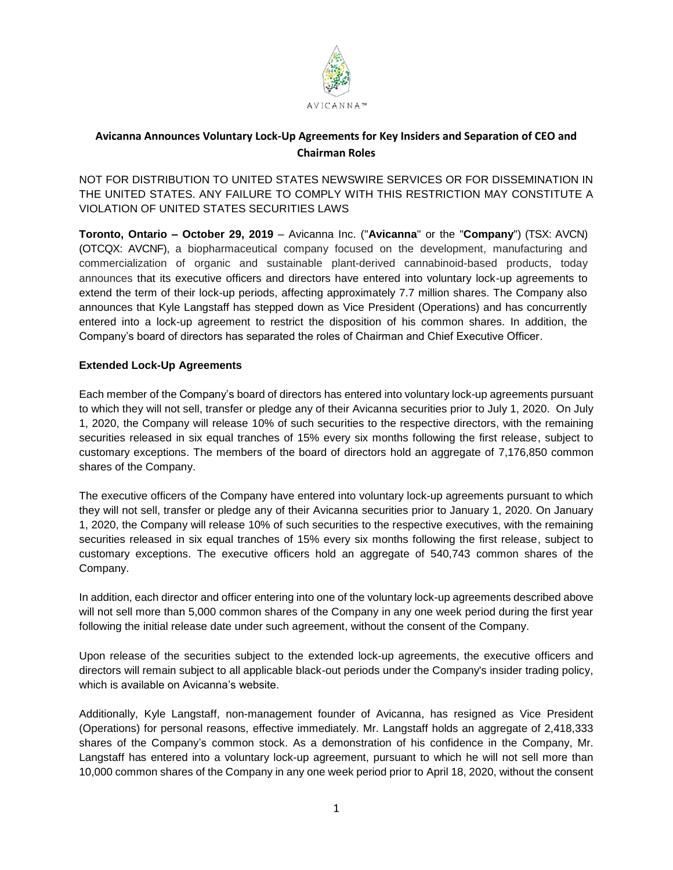

# **Avicanna Announces Voluntary Lock-Up Agreements for Key Insiders and Separation of CEO and Chairman Roles**

NOT FOR DISTRIBUTION TO UNITED STATES NEWSWIRE SERVICES OR FOR DISSEMINATION IN THE UNITED STATES. ANY FAILURE TO COMPLY WITH THIS RESTRICTION MAY CONSTITUTE A VIOLATION OF UNITED STATES SECURITIES LAWS

**Toronto, Ontario – October 29, 2019** – Avicanna Inc. ("**Avicanna**" or the "**Company**") (TSX: AVCN) (OTCQX: AVCNF), a biopharmaceutical company focused on the development, manufacturing and commercialization of organic and sustainable plant-derived cannabinoid-based products, today announces that its executive officers and directors have entered into voluntary lock-up agreements to extend the term of their lock-up periods, affecting approximately 7.7 million shares. The Company also announces that Kyle Langstaff has stepped down as Vice President (Operations) and has concurrently entered into a lock-up agreement to restrict the disposition of his common shares. In addition, the Company's board of directors has separated the roles of Chairman and Chief Executive Officer.

# **Extended Lock-Up Agreements**

Each member of the Company's board of directors has entered into voluntary lock-up agreements pursuant to which they will not sell, transfer or pledge any of their Avicanna securities prior to July 1, 2020. On July 1, 2020, the Company will release 10% of such securities to the respective directors, with the remaining securities released in six equal tranches of 15% every six months following the first release, subject to customary exceptions. The members of the board of directors hold an aggregate of 7,176,850 common shares of the Company.

The executive officers of the Company have entered into voluntary lock-up agreements pursuant to which they will not sell, transfer or pledge any of their Avicanna securities prior to January 1, 2020. On January 1, 2020, the Company will release 10% of such securities to the respective executives, with the remaining securities released in six equal tranches of 15% every six months following the first release, subject to customary exceptions. The executive officers hold an aggregate of 540,743 common shares of the Company.

In addition, each director and officer entering into one of the voluntary lock-up agreements described above will not sell more than 5,000 common shares of the Company in any one week period during the first year following the initial release date under such agreement, without the consent of the Company.

Upon release of the securities subject to the extended lock-up agreements, the executive officers and directors will remain subject to all applicable black-out periods under the Company's insider trading policy, which is available on Avicanna's website.

Additionally, Kyle Langstaff, non-management founder of Avicanna, has resigned as Vice President (Operations) for personal reasons, effective immediately. Mr. Langstaff holds an aggregate of 2,418,333 shares of the Company's common stock. As a demonstration of his confidence in the Company, Mr. Langstaff has entered into a voluntary lock-up agreement, pursuant to which he will not sell more than 10,000 common shares of the Company in any one week period prior to April 18, 2020, without the consent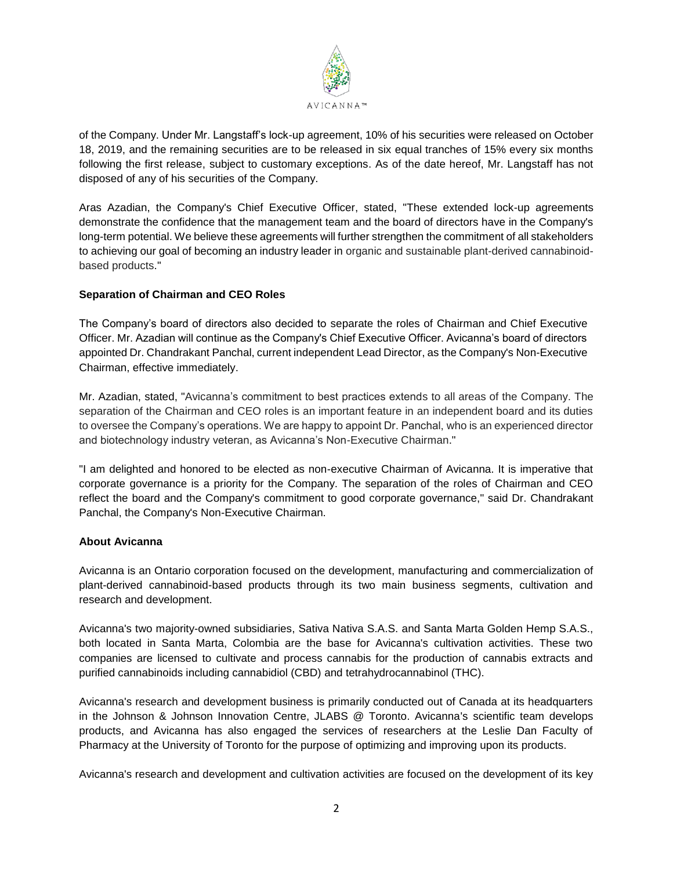

of the Company. Under Mr. Langstaff's lock-up agreement, 10% of his securities were released on October 18, 2019, and the remaining securities are to be released in six equal tranches of 15% every six months following the first release, subject to customary exceptions. As of the date hereof, Mr. Langstaff has not disposed of any of his securities of the Company.

Aras Azadian, the Company's Chief Executive Officer, stated, "These extended lock-up agreements demonstrate the confidence that the management team and the board of directors have in the Company's long-term potential. We believe these agreements will further strengthen the commitment of all stakeholders to achieving our goal of becoming an industry leader in organic and sustainable plant-derived cannabinoidbased products."

# **Separation of Chairman and CEO Roles**

The Company's board of directors also decided to separate the roles of Chairman and Chief Executive Officer. Mr. Azadian will continue as the Company's Chief Executive Officer. Avicanna's board of directors appointed Dr. Chandrakant Panchal, current independent Lead Director, as the Company's Non-Executive Chairman, effective immediately.

Mr. Azadian, stated, "Avicanna's commitment to best practices extends to all areas of the Company. The separation of the Chairman and CEO roles is an important feature in an independent board and its duties to oversee the Company's operations. We are happy to appoint Dr. Panchal, who is an experienced director and biotechnology industry veteran, as Avicanna's Non-Executive Chairman."

"I am delighted and honored to be elected as non-executive Chairman of Avicanna. It is imperative that corporate governance is a priority for the Company. The separation of the roles of Chairman and CEO reflect the board and the Company's commitment to good corporate governance," said Dr. Chandrakant Panchal, the Company's Non-Executive Chairman.

# **About Avicanna**

Avicanna is an Ontario corporation focused on the development, manufacturing and commercialization of plant-derived cannabinoid-based products through its two main business segments, cultivation and research and development.

Avicanna's two majority-owned subsidiaries, Sativa Nativa S.A.S. and Santa Marta Golden Hemp S.A.S., both located in Santa Marta, Colombia are the base for Avicanna's cultivation activities. These two companies are licensed to cultivate and process cannabis for the production of cannabis extracts and purified cannabinoids including cannabidiol (CBD) and tetrahydrocannabinol (THC).

Avicanna's research and development business is primarily conducted out of Canada at its headquarters in the Johnson & Johnson Innovation Centre, JLABS @ Toronto. Avicanna's scientific team develops products, and Avicanna has also engaged the services of researchers at the Leslie Dan Faculty of Pharmacy at the University of Toronto for the purpose of optimizing and improving upon its products.

Avicanna's research and development and cultivation activities are focused on the development of its key